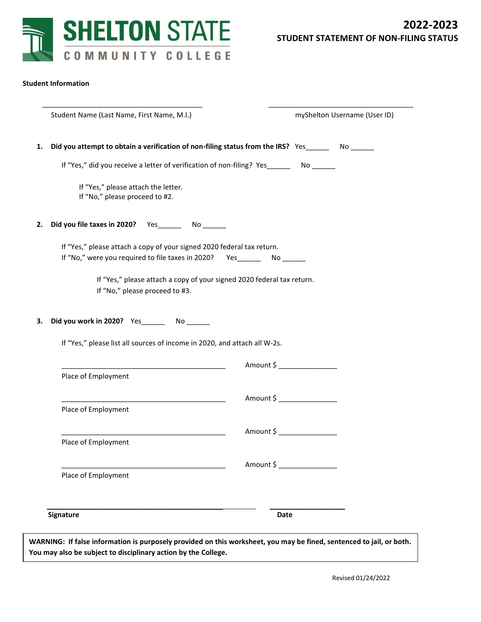

## **Student Information**

| Student Name (Last Name, First Name, M.I.)                                                                           | myShelton Username (User ID)                                                                                                                                                                                                                                                                                                                                                                              |
|----------------------------------------------------------------------------------------------------------------------|-----------------------------------------------------------------------------------------------------------------------------------------------------------------------------------------------------------------------------------------------------------------------------------------------------------------------------------------------------------------------------------------------------------|
| Did you attempt to obtain a verification of non-filing status from the IRS? Yes ________ No _______                  |                                                                                                                                                                                                                                                                                                                                                                                                           |
|                                                                                                                      |                                                                                                                                                                                                                                                                                                                                                                                                           |
| If "Yes," please attach the letter.<br>If "No," please proceed to #2.                                                |                                                                                                                                                                                                                                                                                                                                                                                                           |
| Did you file taxes in 2020? Yes _________ No _______                                                                 |                                                                                                                                                                                                                                                                                                                                                                                                           |
| If "Yes," please attach a copy of your signed 2020 federal tax return.                                               |                                                                                                                                                                                                                                                                                                                                                                                                           |
| If "No," please proceed to #3.                                                                                       |                                                                                                                                                                                                                                                                                                                                                                                                           |
| Did you work in 2020? Yes No                                                                                         |                                                                                                                                                                                                                                                                                                                                                                                                           |
|                                                                                                                      |                                                                                                                                                                                                                                                                                                                                                                                                           |
|                                                                                                                      | Amount \$                                                                                                                                                                                                                                                                                                                                                                                                 |
| Place of Employment                                                                                                  |                                                                                                                                                                                                                                                                                                                                                                                                           |
| <u> 1989 - Johann John Harry Harry Harry Harry Harry Harry Harry Harry Harry Harry Harry Harry Harry Harry Harry</u> | Amount \$                                                                                                                                                                                                                                                                                                                                                                                                 |
|                                                                                                                      |                                                                                                                                                                                                                                                                                                                                                                                                           |
| Place of Employment                                                                                                  | Amount \$                                                                                                                                                                                                                                                                                                                                                                                                 |
|                                                                                                                      | Amount \$                                                                                                                                                                                                                                                                                                                                                                                                 |
| Place of Employment                                                                                                  |                                                                                                                                                                                                                                                                                                                                                                                                           |
| Signature                                                                                                            |                                                                                                                                                                                                                                                                                                                                                                                                           |
|                                                                                                                      | If "Yes," did you receive a letter of verification of non-filing? Yes________ No ______<br>If "No," were you required to file taxes in 2020? Yes No<br>If "Yes," please attach a copy of your signed 2020 federal tax return.<br>If "Yes," please list all sources of income in 2020, and attach all W-2s.<br><u> 1989 - Johann Barn, mars an t-Amerikaansk politiker (* 1908)</u><br>Place of Employment |

**WARNING: If false information is purposely provided on this worksheet, you may be fined, sentenced to jail, or both. You may also be subject to disciplinary action by the College.**